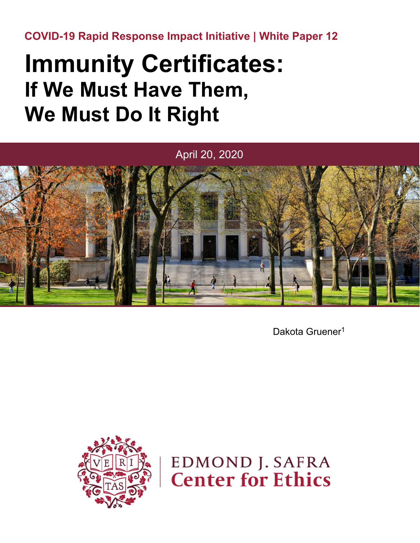**COVID-19 Rapid Response Impact Initiative | White Paper 12**

# **Immunity Certificates: If We Must Have Them, We Must Do It Right**



Dakota Gruener<sup>1</sup>



**EDMOND J. SAFRA Center for Ethics**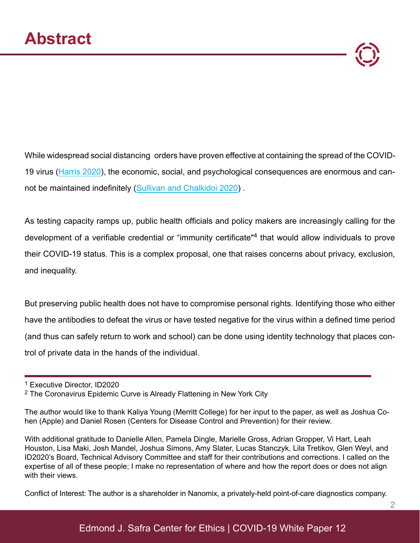While widespread social distancing orders have proven effective at containing the spread of the COVID-19 virus [\(Harris 2020](https://www.nber.org/papers/w26917)), the economic, social, and psychological consequences are enormous and cannot be maintained indefinitely ([Sullivan and Chalkidoi 2020\)](https://www.cgdev.org/blog/urgent-call-exit-plan-economic-and-social-consequences-responses-covid-19-pandemic) .

As testing capacity ramps up, public health officials and policy makers are increasingly calling for the development of a verifiable credential or "immunity certificate" 4 that would allow individuals to prove their COVID-19 status. This is a complex proposal, one that raises concerns about privacy, exclusion, and inequality.

But preserving public health does not have to compromise personal rights. Identifying those who either have the antibodies to defeat the virus or have tested negative for the virus within a defined time period (and thus can safely return to work and school) can be done using identity technology that places control of private data in the hands of the individual.

Conflict of Interest: The author is a shareholder in Nanomix, a privately-held point-of-care diagnostics company.

<sup>1</sup> Executive Director, ID2020

<sup>2</sup> The Coronavirus Epidemic Curve is Already Flattening in New York City

The author would like to thank Kaliya Young (Merritt College) for her input to the paper, as well as Joshua Cohen (Apple) and Daniel Rosen (Centers for Disease Control and Prevention) for their review.

With additional gratitude to Danielle Allen, Pamela Dingle, Marielle Gross, Adrian Gropper, Vi Hart, Leah Houston, Lisa Maki, Josh Mandel, Joshua Simons, Amy Slater, Lucas Stanczyk, Lila Tretikov, Glen Weyl, and ID2020's Board, Technical Advisory Committee and staff for their contributions and corrections. I called on the expertise of all of these people; I make no representation of where and how the report does or does not align with their views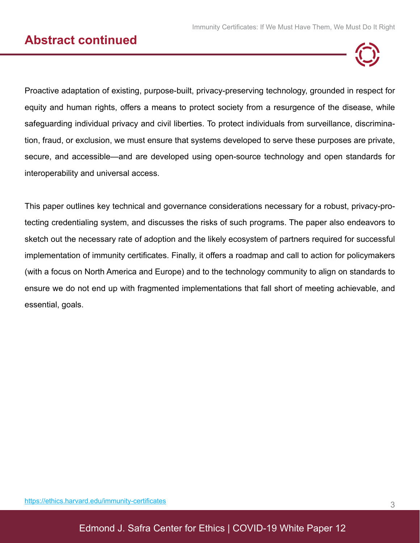### **Abstract continued**



Proactive adaptation of existing, purpose-built, privacy-preserving technology, grounded in respect for equity and human rights, offers a means to protect society from a resurgence of the disease, while safeguarding individual privacy and civil liberties. To protect individuals from surveillance, discrimination, fraud, or exclusion, we must ensure that systems developed to serve these purposes are private, secure, and accessible—and are developed using open-source technology and open standards for interoperability and universal access.

This paper outlines key technical and governance considerations necessary for a robust, privacy-protecting credentialing system, and discusses the risks of such programs. The paper also endeavors to sketch out the necessary rate of adoption and the likely ecosystem of partners required for successful implementation of immunity certificates. Finally, it offers a roadmap and call to action for policymakers (with a focus on North America and Europe) and to the technology community to align on standards to ensure we do not end up with fragmented implementations that fall short of meeting achievable, and essential, goals.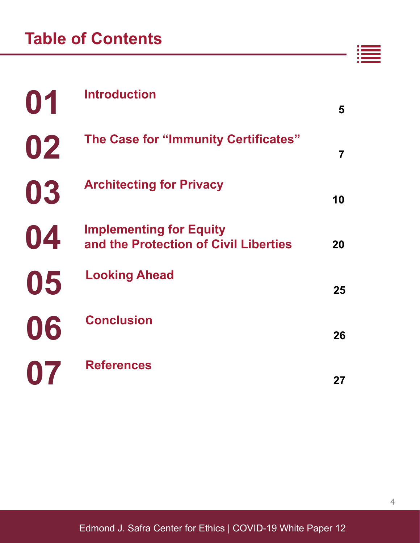| 01             | <b>Introduction</b>                                                     | 5  |
|----------------|-------------------------------------------------------------------------|----|
| 02             | The Case for "Immunity Certificates"                                    | 7  |
| 03             | <b>Architecting for Privacy</b>                                         | 10 |
| 04             | <b>Implementing for Equity</b><br>and the Protection of Civil Liberties | 20 |
| 05             | <b>Looking Ahead</b>                                                    | 25 |
| 06             | <b>Conclusion</b>                                                       | 26 |
| $\blacksquare$ | <b>References</b>                                                       | 27 |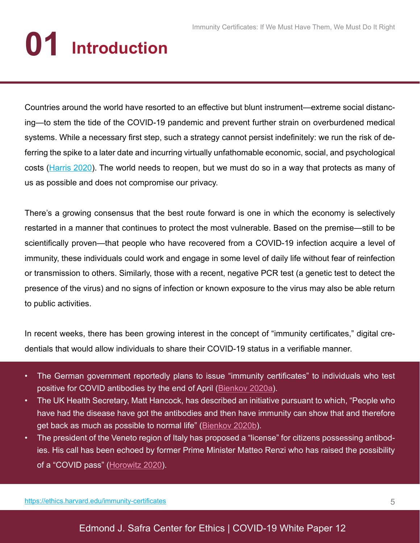# **01 Introduction**

Countries around the world have resorted to an effective but blunt instrument—extreme social distancing—to stem the tide of the COVID-19 pandemic and prevent further strain on overburdened medical systems. While a necessary first step, such a strategy cannot persist indefinitely: we run the risk of deferring the spike to a later date and incurring virtually unfathomable economic, social, and psychological costs ([Harris 2020](https://www.nber.org/papers/w26917)). The world needs to reopen, but we must do so in a way that protects as many of us as possible and does not compromise our privacy.

There's a growing consensus that the best route forward is one in which the economy is selectively restarted in a manner that continues to protect the most vulnerable. Based on the premise—still to be scientifically proven—that people who have recovered from a COVID-19 infection acquire a level of immunity, these individuals could work and engage in some level of daily life without fear of reinfection or transmission to others. Similarly, those with a recent, negative PCR test (a genetic test to detect the presence of the virus) and no signs of infection or known exposure to the virus may also be able return to public activities.

In recent weeks, there has been growing interest in the concept of "immunity certificates," digital credentials that would allow individuals to share their COVID-19 status in a verifiable manner.

- The German government reportedly plans to issue "immunity certificates" to individuals who test positive for COVID antibodies by the end of April [\(Bienkov 2020a\)](https://www.businessinsider.com/coronavirus-germany-covid-19-immunity-certificates-testing-social-distancing-lockdown-2020-3FirefoxHTML/Shell/Open/Command).
- The UK Health Secretary, Matt Hancock, has described an initiative pursuant to which, "People who have had the disease have got the antibodies and then have immunity can show that and therefore get back as much as possible to normal life" ([Bienkov 2020b](https://www.businessinsider.com/uk-plans-coronavirus-immunity-passports-so-brits-can-leave-lockdown-2020-4FirefoxHTML/Shell/Open/Command)).
- The president of the Veneto region of Italy has proposed a "license" for citizens possessing antibodies. His call has been echoed by former Prime Minister Matteo Renzi who has raised the possibility of a "COVID pass" ([Horowitz 2020](https://www.nytimes.com/2020/04/04/world/europe/italy-coronavirus-antibodies.htmlFirefoxHTML/Shell/Open/Command)).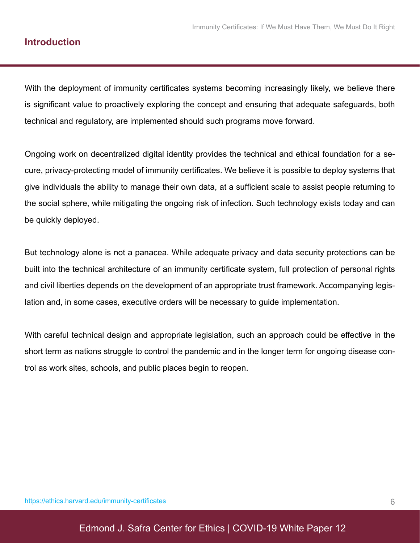#### **Introduction**

With the deployment of immunity certificates systems becoming increasingly likely, we believe there is significant value to proactively exploring the concept and ensuring that adequate safeguards, both technical and regulatory, are implemented should such programs move forward.

Ongoing work on decentralized digital identity provides the technical and ethical foundation for a secure, privacy-protecting model of immunity certificates. We believe it is possible to deploy systems that give individuals the ability to manage their own data, at a sufficient scale to assist people returning to the social sphere, while mitigating the ongoing risk of infection. Such technology exists today and can be quickly deployed.

But technology alone is not a panacea. While adequate privacy and data security protections can be built into the technical architecture of an immunity certificate system, full protection of personal rights and civil liberties depends on the development of an appropriate trust framework. Accompanying legislation and, in some cases, executive orders will be necessary to guide implementation.

With careful technical design and appropriate legislation, such an approach could be effective in the short term as nations struggle to control the pandemic and in the longer term for ongoing disease control as work sites, schools, and public places begin to reopen.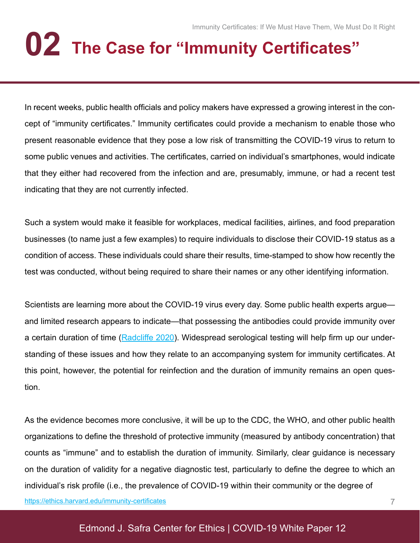# **02 The Case for "Immunity Certificates"**

In recent weeks, public health officials and policy makers have expressed a growing interest in the concept of "immunity certificates." Immunity certificates could provide a mechanism to enable those who present reasonable evidence that they pose a low risk of transmitting the COVID-19 virus to return to some public venues and activities. The certificates, carried on individual's smartphones, would indicate that they either had recovered from the infection and are, presumably, immune, or had a recent test indicating that they are not currently infected.

Such a system would make it feasible for workplaces, medical facilities, airlines, and food preparation businesses (to name just a few examples) to require individuals to disclose their COVID-19 status as a condition of access. These individuals could share their results, time-stamped to show how recently the test was conducted, without being required to share their names or any other identifying information.

Scientists are learning more about the COVID-19 virus every day. Some public health experts argue and limited research appears to indicate—that possessing the antibodies could provide immunity over a certain duration of time [\(Radcliffe 2020](https://www.healthline.com/health-news/how-antibody-testing-can-help-us-fight-covid-19#When-will-testing-be-widely-available?)). Widespread serological testing will help firm up our understanding of these issues and how they relate to an accompanying system for immunity certificates. At this point, however, the potential for reinfection and the duration of immunity remains an open question.

As the evidence becomes more conclusive, it will be up to the CDC, the WHO, and other public health organizations to define the threshold of protective immunity (measured by antibody concentration) that counts as "immune" and to establish the duration of immunity. Similarly, clear guidance is necessary on the duration of validity for a negative diagnostic test, particularly to define the degree to which an individual's risk profile (i.e., the prevalence of COVID-19 within their community or the degree of [https://ethics.harvard.edu/immunity-certificate](https://ethics.harvard.edu/immunity-certificates)s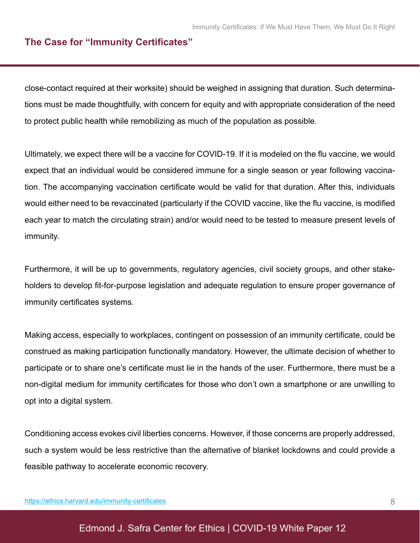#### **The Case for "Immunity Certificates"**

close-contact required at their worksite) should be weighed in assigning that duration. Such determinations must be made thoughtfully, with concern for equity and with appropriate consideration of the need to protect public health while remobilizing as much of the population as possible.

Ultimately, we expect there will be a vaccine for COVID-19. If it is modeled on the flu vaccine, we would expect that an individual would be considered immune for a single season or year following vaccination. The accompanying vaccination certificate would be valid for that duration. After this, individuals would either need to be revaccinated (particularly if the COVID vaccine, like the flu vaccine, is modified each year to match the circulating strain) and/or would need to be tested to measure present levels of immunity.

Furthermore, it will be up to governments, regulatory agencies, civil society groups, and other stakeholders to develop fit-for-purpose legislation and adequate regulation to ensure proper governance of immunity certificates systems.

Making access, especially to workplaces, contingent on possession of an immunity certificate, could be construed as making participation functionally mandatory. However, the ultimate decision of whether to participate or to share one's certificate must lie in the hands of the user. Furthermore, there must be a non-digital medium for immunity certificates for those who don't own a smartphone or are unwilling to opt into a digital system.

Conditioning access evokes civil liberties concerns. However, if those concerns are properly addressed, such a system would be less restrictive than the alternative of blanket lockdowns and could provide a feasible pathway to accelerate economic recovery.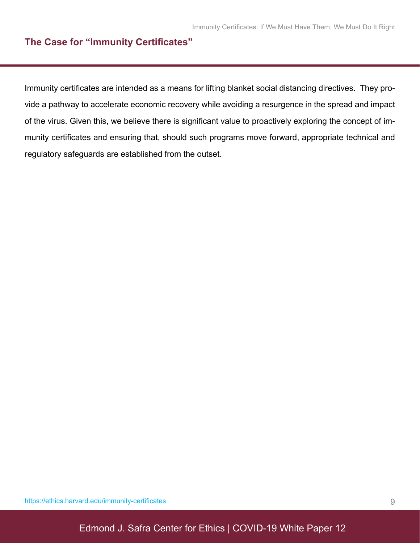#### **The Case for "Immunity Certificates"**

Immunity certificates are intended as a means for lifting blanket social distancing directives. They provide a pathway to accelerate economic recovery while avoiding a resurgence in the spread and impact of the virus. Given this, we believe there is significant value to proactively exploring the concept of immunity certificates and ensuring that, should such programs move forward, appropriate technical and regulatory safeguards are established from the outset.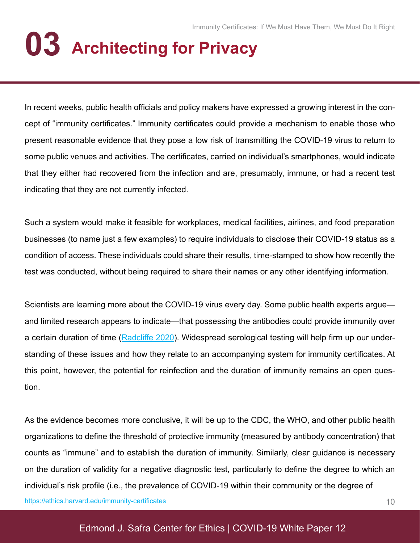# **03 Architecting for Privacy**

In recent weeks, public health officials and policy makers have expressed a growing interest in the concept of "immunity certificates." Immunity certificates could provide a mechanism to enable those who present reasonable evidence that they pose a low risk of transmitting the COVID-19 virus to return to some public venues and activities. The certificates, carried on individual's smartphones, would indicate that they either had recovered from the infection and are, presumably, immune, or had a recent test indicating that they are not currently infected.

Such a system would make it feasible for workplaces, medical facilities, airlines, and food preparation businesses (to name just a few examples) to require individuals to disclose their COVID-19 status as a condition of access. These individuals could share their results, time-stamped to show how recently the test was conducted, without being required to share their names or any other identifying information.

Scientists are learning more about the COVID-19 virus every day. Some public health experts argue and limited research appears to indicate—that possessing the antibodies could provide immunity over a certain duration of time [\(Radcliffe 2020](https://www.healthline.com/health-news/how-antibody-testing-can-help-us-fight-covid-19#When-will-testing-be-widely-available?)). Widespread serological testing will help firm up our understanding of these issues and how they relate to an accompanying system for immunity certificates. At this point, however, the potential for reinfection and the duration of immunity remains an open question.

As the evidence becomes more conclusive, it will be up to the CDC, the WHO, and other public health organizations to define the threshold of protective immunity (measured by antibody concentration) that counts as "immune" and to establish the duration of immunity. Similarly, clear guidance is necessary on the duration of validity for a negative diagnostic test, particularly to define the degree to which an individual's risk profile (i.e., the prevalence of COVID-19 within their community or the degree of [https://ethics.harvard.edu/immunity-certificate](https://ethics.harvard.edu/immunity-certificates)s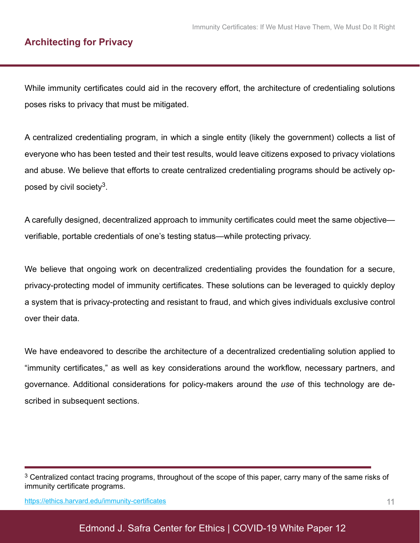#### **Architecting for Privacy**

While immunity certificates could aid in the recovery effort, the architecture of credentialing solutions poses risks to privacy that must be mitigated.

A centralized credentialing program, in which a single entity (likely the government) collects a list of everyone who has been tested and their test results, would leave citizens exposed to privacy violations and abuse. We believe that efforts to create centralized credentialing programs should be actively opposed by civil society<sup>3</sup>.

A carefully designed, decentralized approach to immunity certificates could meet the same objective verifiable, portable credentials of one's testing status—while protecting privacy.

We believe that ongoing work on decentralized credentialing provides the foundation for a secure, privacy-protecting model of immunity certificates. These solutions can be leveraged to quickly deploy a system that is privacy-protecting and resistant to fraud, and which gives individuals exclusive control over their data.

We have endeavored to describe the architecture of a decentralized credentialing solution applied to "immunity certificates," as well as key considerations around the workflow, necessary partners, and governance. Additional considerations for policy-makers around the *use* of this technology are described in subsequent sections.

<sup>3</sup> Centralized contact tracing programs, throughout of the scope of this paper, carry many of the same risks of immunity certificate programs.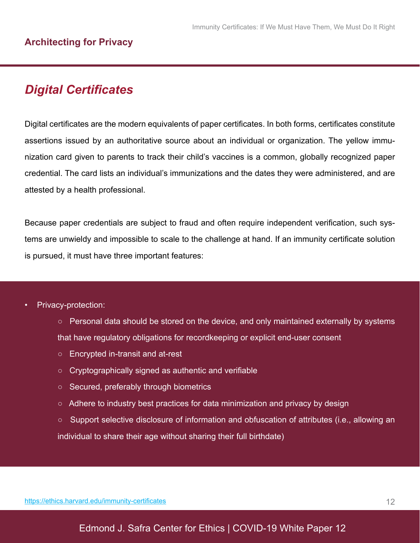### *Digital Certificates*

Digital certificates are the modern equivalents of paper certificates. In both forms, certificates constitute assertions issued by an authoritative source about an individual or organization. The yellow immunization card given to parents to track their child's vaccines is a common, globally recognized paper credential. The card lists an individual's immunizations and the dates they were administered, and are attested by a health professional.

Because paper credentials are subject to fraud and often require independent verification, such systems are unwieldy and impossible to scale to the challenge at hand. If an immunity certificate solution is pursued, it must have three important features:

- Privacy-protection:
	- Personal data should be stored on the device, and only maintained externally by systems that have regulatory obligations for recordkeeping or explicit end-user consent
	- Encrypted in-transit and at-rest
	- Cryptographically signed as authentic and verifiable
	- Secured, preferably through biometrics
	- Adhere to industry best practices for data minimization and privacy by design
	- Support selective disclosure of information and obfuscation of attributes (i.e., allowing an individual to share their age without sharing their full birthdate)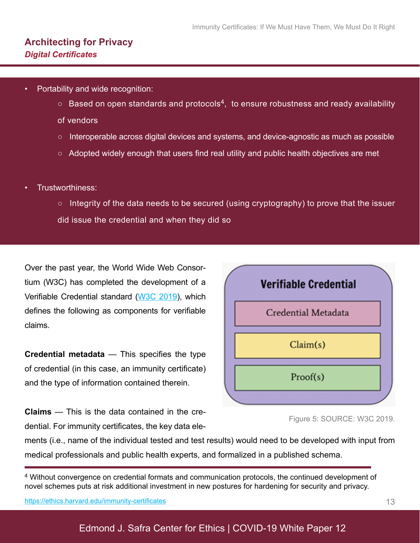- Portability and wide recognition:
	- $\circ$  Based on open standards and protocols<sup>4</sup>, to ensure robustness and ready availability
	- of vendors
	- Interoperable across digital devices and systems, and device-agnostic as much as possible
	- Adopted widely enough that users find real utility and public health objectives are met
- Trustworthiness:
	- Integrity of the data needs to be secured (using cryptography) to prove that the issuer did issue the credential and when they did so

Over the past year, the World Wide Web Consortium (W3C) has completed the development of a Verifiable Credential standard ([W3C 2019](https://www.w3.org/TR/vc-data-model/)), which defines the following as components for verifiable claims.

**Credential metadata** — This specifies the type of credential (in this case, an immunity certificate) and the type of information contained therein.

**Claims** — This is the data contained in the credential. For immunity certificates, the key data ele-



Figure 5: SOURCE: W3C 2019.

ments (i.e., name of the individual tested and test results) would need to be developed with input from medical professionals and public health experts, and formalized in a published schema.

4 Without convergence on credential formats and communication protocols, the continued development of novel schemes puts at risk additional investment in new postures for hardening for security and privacy.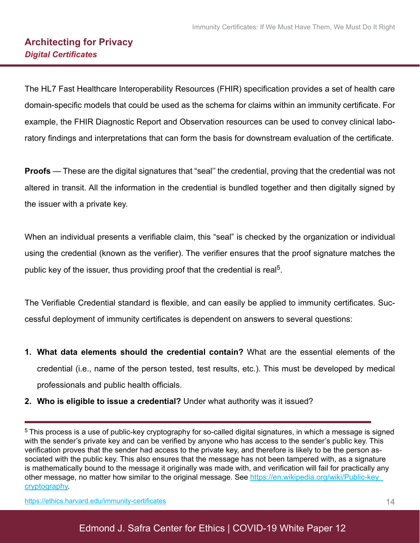The HL7 Fast Healthcare Interoperability Resources (FHIR) specification provides a set of health care domain-specific models that could be used as the schema for claims within an immunity certificate. For example, the FHIR Diagnostic Report and Observation resources can be used to convey clinical laboratory findings and interpretations that can form the basis for downstream evaluation of the certificate.

**Proofs** — These are the digital signatures that "seal'' the credential, proving that the credential was not altered in transit. All the information in the credential is bundled together and then digitally signed by the issuer with a private key.

When an individual presents a verifiable claim, this "seal" is checked by the organization or individual using the credential (known as the verifier). The verifier ensures that the proof signature matches the public key of the issuer, thus providing proof that the credential is real<sup>5</sup>.

The Verifiable Credential standard is flexible, and can easily be applied to immunity certificates. Successful deployment of immunity certificates is dependent on answers to several questions:

- **1. What data elements should the credential contain?** What are the essential elements of the credential (i.e., name of the person tested, test results, etc.). This must be developed by medical professionals and public health officials.
- **2. Who is eligible to issue a credential?** Under what authority was it issued?

5 This process is a use of public-key cryptography for so-called digital signatures, in which a message is signed with the sender's private key and can be verified by anyone who has access to the sender's public key. This verification proves that the sender had access to the private key, and therefore is likely to be the person associated with the public key. This also ensures that the message has not been tampered with, as a signature is mathematically bound to the message it originally was made with, and verification will fail for practically any other message, no matter how similar to the original message. See [https://en.wikipedia.org/wiki/Public-key\\_](https://en.wikipedia.org/wiki/Public-key_cryptography) [cryptography.](https://en.wikipedia.org/wiki/Public-key_cryptography)

[https://ethics.harvard.edu/immunity-certificate](https://ethics.harvard.edu/immunity-certificates)s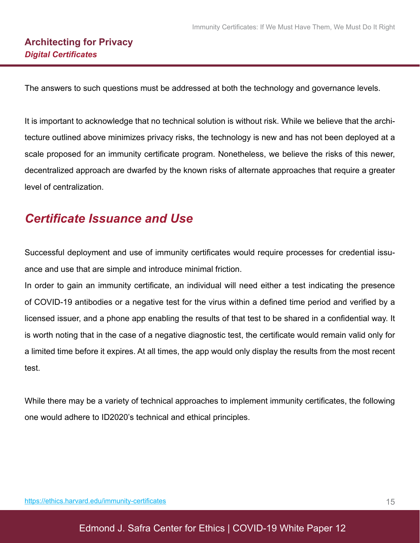The answers to such questions must be addressed at both the technology and governance levels.

It is important to acknowledge that no technical solution is without risk. While we believe that the architecture outlined above minimizes privacy risks, the technology is new and has not been deployed at a scale proposed for an immunity certificate program. Nonetheless, we believe the risks of this newer, decentralized approach are dwarfed by the known risks of alternate approaches that require a greater level of centralization.

### *Certificate Issuance and Use*

Successful deployment and use of immunity certificates would require processes for credential issuance and use that are simple and introduce minimal friction.

In order to gain an immunity certificate, an individual will need either a test indicating the presence of COVID-19 antibodies or a negative test for the virus within a defined time period and verified by a licensed issuer, and a phone app enabling the results of that test to be shared in a confidential way. It is worth noting that in the case of a negative diagnostic test, the certificate would remain valid only for a limited time before it expires. At all times, the app would only display the results from the most recent test.

While there may be a variety of technical approaches to implement immunity certificates, the following one would adhere to ID2020's technical and ethical principles.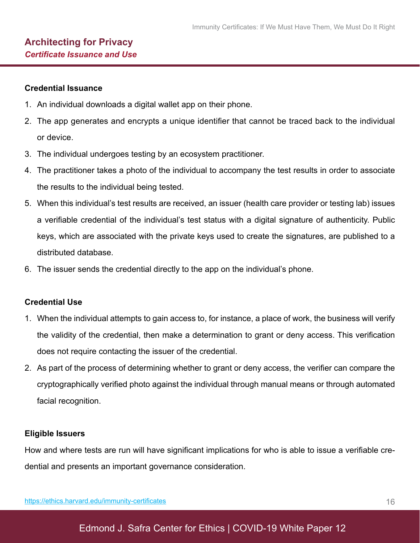#### **Credential Issuance**

- 1. An individual downloads a digital wallet app on their phone.
- 2. The app generates and encrypts a unique identifier that cannot be traced back to the individual or device.
- 3. The individual undergoes testing by an ecosystem practitioner.
- 4. The practitioner takes a photo of the individual to accompany the test results in order to associate the results to the individual being tested.
- 5. When this individual's test results are received, an issuer (health care provider or testing lab) issues a verifiable credential of the individual's test status with a digital signature of authenticity. Public keys, which are associated with the private keys used to create the signatures, are published to a distributed database.
- 6. The issuer sends the credential directly to the app on the individual's phone.

#### **Credential Use**

- 1. When the individual attempts to gain access to, for instance, a place of work, the business will verify the validity of the credential, then make a determination to grant or deny access. This verification does not require contacting the issuer of the credential.
- 2. As part of the process of determining whether to grant or deny access, the verifier can compare the cryptographically verified photo against the individual through manual means or through automated facial recognition.

#### **Eligible Issuers**

How and where tests are run will have significant implications for who is able to issue a verifiable credential and presents an important governance consideration.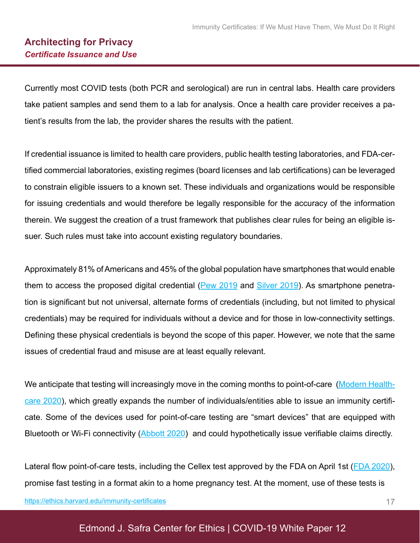#### **Architecting for Privacy** *Certificate Issuance and Use*

Currently most COVID tests (both PCR and serological) are run in central labs. Health care providers take patient samples and send them to a lab for analysis. Once a health care provider receives a patient's results from the lab, the provider shares the results with the patient.

If credential issuance is limited to health care providers, public health testing laboratories, and FDA-certified commercial laboratories, existing regimes (board licenses and lab certifications) can be leveraged to constrain eligible issuers to a known set. These individuals and organizations would be responsible for issuing credentials and would therefore be legally responsible for the accuracy of the information therein. We suggest the creation of a trust framework that publishes clear rules for being an eligible issuer. Such rules must take into account existing regulatory boundaries.

Approximately 81% of Americans and 45% of the global population have smartphones that would enable them to access the proposed digital credential ( $Pew 2019$  and  $Silver 2019$ ). As smartphone penetration is significant but not universal, alternate forms of credentials (including, but not limited to physical credentials) may be required for individuals without a device and for those in low-connectivity settings. Defining these physical credentials is beyond the scope of this paper. However, we note that the same issues of credential fraud and misuse are at least equally relevant.

We anticipate that testing will increasingly move in the coming months to point-of-care ([Modern Health](https://www.modernhealthcare.com/technology/fda-approves-first-covid-19-point-care-diagnostic-test)[care 2020](https://www.modernhealthcare.com/technology/fda-approves-first-covid-19-point-care-diagnostic-test)), which greatly expands the number of individuals/entities able to issue an immunity certificate. Some of the devices used for point-of-care testing are "smart devices" that are equipped with Bluetooth or Wi-Fi connectivity [\(Abbott 2020](https://www.pointofcare.abbott/us/en/offerings/istat/istat-wireless)) and could hypothetically issue verifiable claims directly.

Lateral flow point-of-care tests, including the Cellex test approved by the FDA on April 1st ([FDA 2020\)](https://www.fda.gov/media/136625/download), promise fast testing in a format akin to a home pregnancy test. At the moment, use of these tests is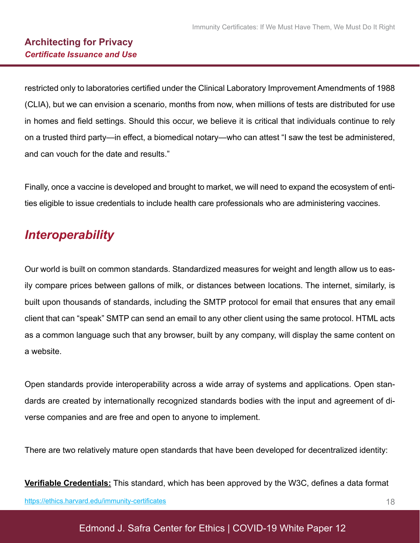restricted only to laboratories certified under the Clinical Laboratory Improvement Amendments of 1988 (CLIA), but we can envision a scenario, months from now, when millions of tests are distributed for use in homes and field settings. Should this occur, we believe it is critical that individuals continue to rely on a trusted third party—in effect, a biomedical notary—who can attest "I saw the test be administered, and can vouch for the date and results."

Finally, once a vaccine is developed and brought to market, we will need to expand the ecosystem of entities eligible to issue credentials to include health care professionals who are administering vaccines.

### *Interoperability*

Our world is built on common standards. Standardized measures for weight and length allow us to easily compare prices between gallons of milk, or distances between locations. The internet, similarly, is built upon thousands of standards, including the SMTP protocol for email that ensures that any email client that can "speak" SMTP can send an email to any other client using the same protocol. HTML acts as a common language such that any browser, built by any company, will display the same content on a website.

Open standards provide interoperability across a wide array of systems and applications. Open standards are created by internationally recognized standards bodies with the input and agreement of diverse companies and are free and open to anyone to implement.

There are two relatively mature open standards that have been developed for decentralized identity:

**Verifiable Credentials:** This standard, which has been approved by the W3C, defines a data format [https://ethics.harvard.edu/immunity-certificate](https://ethics.harvard.edu/immunity-certificates)s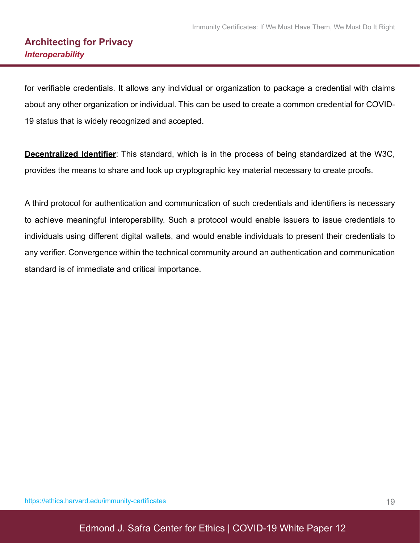for verifiable credentials. It allows any individual or organization to package a credential with claims about any other organization or individual. This can be used to create a common credential for COVID-19 status that is widely recognized and accepted.

**Decentralized Identifier**: This standard, which is in the process of being standardized at the W3C, provides the means to share and look up cryptographic key material necessary to create proofs.

A third protocol for authentication and communication of such credentials and identifiers is necessary to achieve meaningful interoperability. Such a protocol would enable issuers to issue credentials to individuals using different digital wallets, and would enable individuals to present their credentials to any verifier. Convergence within the technical community around an authentication and communication standard is of immediate and critical importance.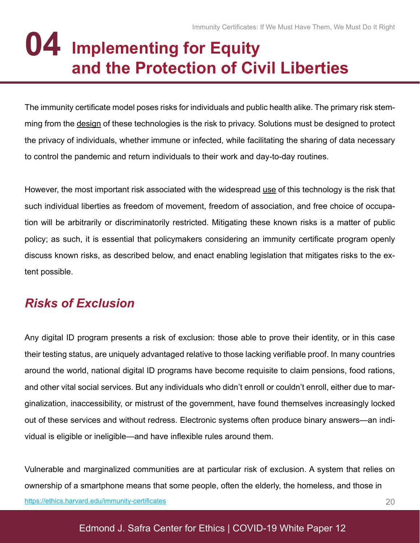# **Implementing for Equity and the Protection of Civil Liberties 04**

The immunity certificate model poses risks for individuals and public health alike. The primary risk stemming from the design of these technologies is the risk to privacy. Solutions must be designed to protect the privacy of individuals, whether immune or infected, while facilitating the sharing of data necessary to control the pandemic and return individuals to their work and day-to-day routines.

However, the most important risk associated with the widespread use of this technology is the risk that such individual liberties as freedom of movement, freedom of association, and free choice of occupation will be arbitrarily or discriminatorily restricted. Mitigating these known risks is a matter of public policy; as such, it is essential that policymakers considering an immunity certificate program openly discuss known risks, as described below, and enact enabling legislation that mitigates risks to the extent possible.

## *Risks of Exclusion*

Any digital ID program presents a risk of exclusion: those able to prove their identity, or in this case their testing status, are uniquely advantaged relative to those lacking verifiable proof. In many countries around the world, national digital ID programs have become requisite to claim pensions, food rations, and other vital social services. But any individuals who didn't enroll or couldn't enroll, either due to marginalization, inaccessibility, or mistrust of the government, have found themselves increasingly locked out of these services and without redress. Electronic systems often produce binary answers—an individual is eligible or ineligible—and have inflexible rules around them.

20 Vulnerable and marginalized communities are at particular risk of exclusion. A system that relies on ownership of a smartphone means that some people, often the elderly, the homeless, and those in [https://ethics.harvard.edu/immunity-certificate](https://ethics.harvard.edu/immunity-certificates)s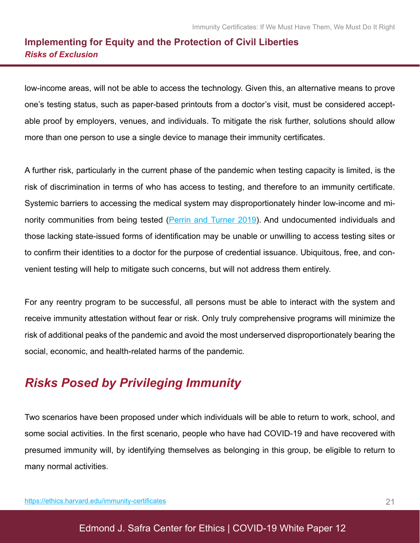#### **Implementing for Equity and the Protection of Civil Liberties** *Risks of Exclusion*

low-income areas, will not be able to access the technology. Given this, an alternative means to prove one's testing status, such as paper-based printouts from a doctor's visit, must be considered acceptable proof by employers, venues, and individuals. To mitigate the risk further, solutions should allow more than one person to use a single device to manage their immunity certificates.

A further risk, particularly in the current phase of the pandemic when testing capacity is limited, is the risk of discrimination in terms of who has access to testing, and therefore to an immunity certificate. Systemic barriers to accessing the medical system may disproportionately hinder low-income and mi-nority communities from being tested [\(Perrin and Turner 2019\)](https://www.pewresearch.org/fact-tank/2019/08/20/smartphones-help-blacks-hispanics-bridge-some-but-not-all-digital-gaps-with-whites/). And undocumented individuals and those lacking state-issued forms of identification may be unable or unwilling to access testing sites or to confirm their identities to a doctor for the purpose of credential issuance. Ubiquitous, free, and convenient testing will help to mitigate such concerns, but will not address them entirely.

For any reentry program to be successful, all persons must be able to interact with the system and receive immunity attestation without fear or risk. Only truly comprehensive programs will minimize the risk of additional peaks of the pandemic and avoid the most underserved disproportionately bearing the social, economic, and health-related harms of the pandemic.

### *Risks Posed by Privileging Immunity*

Two scenarios have been proposed under which individuals will be able to return to work, school, and some social activities. In the first scenario, people who have had COVID-19 and have recovered with presumed immunity will, by identifying themselves as belonging in this group, be eligible to return to many normal activities.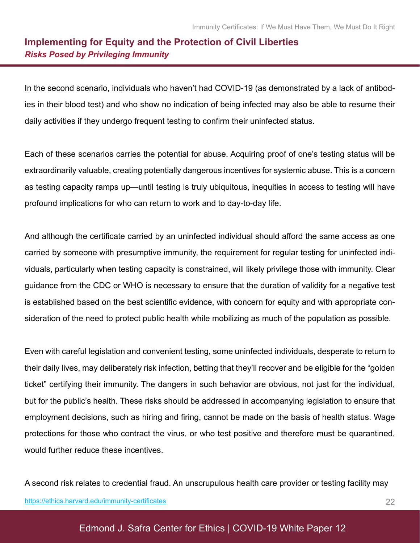#### **Implementing for Equity and the Protection of Civil Liberties** *Risks Posed by Privileging Immunity*

In the second scenario, individuals who haven't had COVID-19 (as demonstrated by a lack of antibodies in their blood test) and who show no indication of being infected may also be able to resume their daily activities if they undergo frequent testing to confirm their uninfected status.

Each of these scenarios carries the potential for abuse. Acquiring proof of one's testing status will be extraordinarily valuable, creating potentially dangerous incentives for systemic abuse. This is a concern as testing capacity ramps up—until testing is truly ubiquitous, inequities in access to testing will have profound implications for who can return to work and to day-to-day life.

And although the certificate carried by an uninfected individual should afford the same access as one carried by someone with presumptive immunity, the requirement for regular testing for uninfected individuals, particularly when testing capacity is constrained, will likely privilege those with immunity. Clear guidance from the CDC or WHO is necessary to ensure that the duration of validity for a negative test is established based on the best scientific evidence, with concern for equity and with appropriate consideration of the need to protect public health while mobilizing as much of the population as possible.

Even with careful legislation and convenient testing, some uninfected individuals, desperate to return to their daily lives, may deliberately risk infection, betting that they'll recover and be eligible for the "golden ticket" certifying their immunity. The dangers in such behavior are obvious, not just for the individual, but for the public's health. These risks should be addressed in accompanying legislation to ensure that employment decisions, such as hiring and firing, cannot be made on the basis of health status. Wage protections for those who contract the virus, or who test positive and therefore must be quarantined, would further reduce these incentives.

A second risk relates to credential fraud. An unscrupulous health care provider or testing facility may [https://ethics.harvard.edu/immunity-certificate](https://ethics.harvard.edu/immunity-certificates)s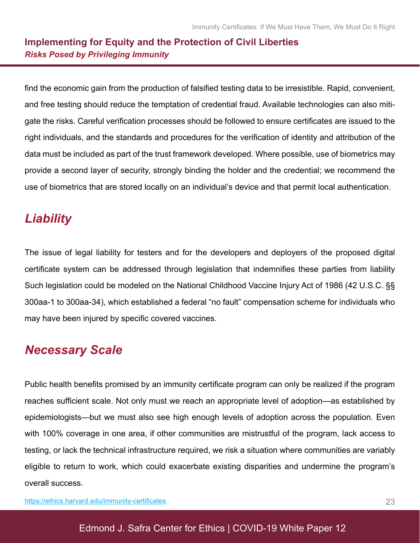#### **Implementing for Equity and the Protection of Civil Liberties** *Risks Posed by Privileging Immunity*

find the economic gain from the production of falsified testing data to be irresistible. Rapid, convenient, and free testing should reduce the temptation of credential fraud. Available technologies can also mitigate the risks. Careful verification processes should be followed to ensure certificates are issued to the right individuals, and the standards and procedures for the verification of identity and attribution of the data must be included as part of the trust framework developed. Where possible, use of biometrics may provide a second layer of security, strongly binding the holder and the credential; we recommend the use of biometrics that are stored locally on an individual's device and that permit local authentication.

### *Liability*

The issue of legal liability for testers and for the developers and deployers of the proposed digital certificate system can be addressed through legislation that indemnifies these parties from liability Such legislation could be modeled on the National Childhood Vaccine Injury Act of 1986 (42 U.S.C. §§ 300aa-1 to 300aa-34), which established a federal "no fault" compensation scheme for individuals who may have been injured by specific covered vaccines.

### *Necessary Scale*

Public health benefits promised by an immunity certificate program can only be realized if the program reaches sufficient scale. Not only must we reach an appropriate level of adoption—as established by epidemiologists—but we must also see high enough levels of adoption across the population. Even with 100% coverage in one area, if other communities are mistrustful of the program, lack access to testing, or lack the technical infrastructure required, we risk a situation where communities are variably eligible to return to work, which could exacerbate existing disparities and undermine the program's overall success.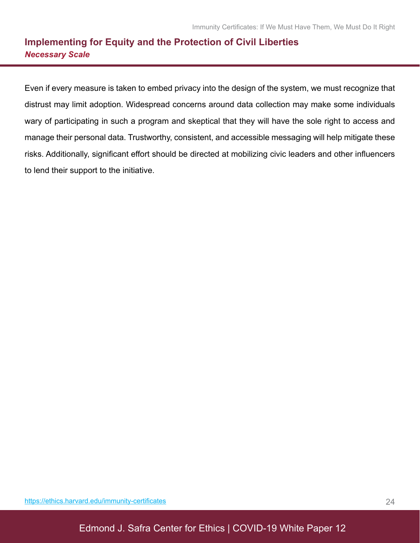#### **Implementing for Equity and the Protection of Civil Liberties** *Necessary Scale*

Even if every measure is taken to embed privacy into the design of the system, we must recognize that distrust may limit adoption. Widespread concerns around data collection may make some individuals wary of participating in such a program and skeptical that they will have the sole right to access and manage their personal data. Trustworthy, consistent, and accessible messaging will help mitigate these risks. Additionally, significant effort should be directed at mobilizing civic leaders and other influencers to lend their support to the initiative.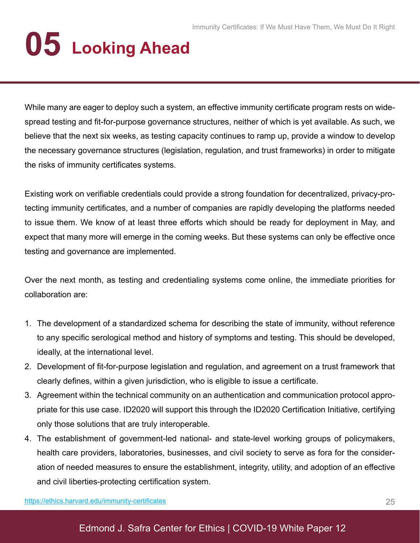# **05 Looking Ahead**

While many are eager to deploy such a system, an effective immunity certificate program rests on widespread testing and fit-for-purpose governance structures, neither of which is yet available. As such, we believe that the next six weeks, as testing capacity continues to ramp up, provide a window to develop the necessary governance structures (legislation, regulation, and trust frameworks) in order to mitigate the risks of immunity certificates systems.

Existing work on verifiable credentials could provide a strong foundation for decentralized, privacy-protecting immunity certificates, and a number of companies are rapidly developing the platforms needed to issue them. We know of at least three efforts which should be ready for deployment in May, and expect that many more will emerge in the coming weeks. But these systems can only be effective once testing and governance are implemented.

Over the next month, as testing and credentialing systems come online, the immediate priorities for collaboration are:

- 1. The development of a standardized schema for describing the state of immunity, without reference to any specific serological method and history of symptoms and testing. This should be developed, ideally, at the international level.
- 2. Development of fit-for-purpose legislation and regulation, and agreement on a trust framework that clearly defines, within a given jurisdiction, who is eligible to issue a certificate.
- 3. Agreement within the technical community on an authentication and communication protocol appropriate for this use case. ID2020 will support this through the ID2020 Certification Initiative, certifying only those solutions that are truly interoperable.
- 4. The establishment of government-led national- and state-level working groups of policymakers, health care providers, laboratories, businesses, and civil society to serve as fora for the consideration of needed measures to ensure the establishment, integrity, utility, and adoption of an effective and civil liberties-protecting certification system.

[https://ethics.harvard.edu/immunity-certificate](https://ethics.harvard.edu/immunity-certificates)s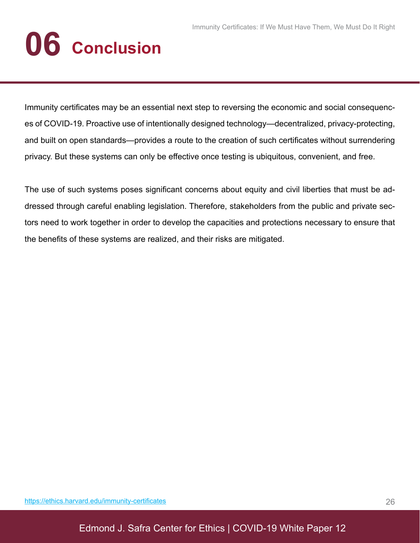# **06 Conclusion**

Immunity certificates may be an essential next step to reversing the economic and social consequences of COVID-19. Proactive use of intentionally designed technology—decentralized, privacy-protecting, and built on open standards—provides a route to the creation of such certificates without surrendering privacy. But these systems can only be effective once testing is ubiquitous, convenient, and free.

The use of such systems poses significant concerns about equity and civil liberties that must be addressed through careful enabling legislation. Therefore, stakeholders from the public and private sectors need to work together in order to develop the capacities and protections necessary to ensure that the benefits of these systems are realized, and their risks are mitigated.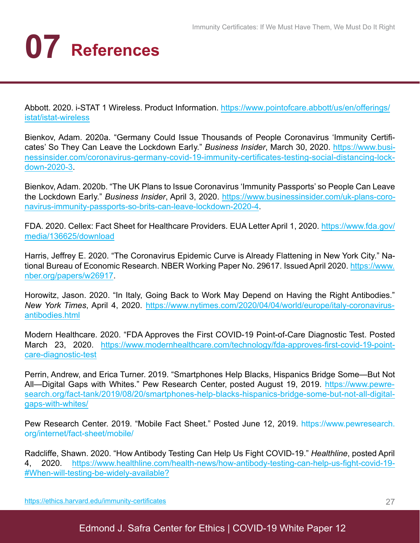# **07 References**

Abbott. 2020. i-STAT 1 Wireless. Product Information. [https://www.pointofcare.abbott/us/en/offerings/](https://www.pointofcare.abbott/us/en/offerings/istat/istat-wireless) [istat/istat-wireles](https://www.pointofcare.abbott/us/en/offerings/istat/istat-wireless)s

Bienkov, Adam. 2020a. "Germany Could Issue Thousands of People Coronavirus 'Immunity Certificates' So They Can Leave the Lockdown Early." *Business Insider*, March 30, 2020. [https://www.busi](https://www.businessinsider.com/coronavirus-germany-covid-19-immunity-certificates-testing-social-distancing-lockdown-2020-3)[nessinsider.com/coronavirus-germany-covid-19-immunity-certificates-testing-social-distancing-lock](https://www.businessinsider.com/coronavirus-germany-covid-19-immunity-certificates-testing-social-distancing-lockdown-2020-3)[down-2020-3](https://www.businessinsider.com/coronavirus-germany-covid-19-immunity-certificates-testing-social-distancing-lockdown-2020-3).

[Bienkov, Adam. 2020b. "The UK Plans to Issue Coronavirus 'Immunity Passports' so People Can Leave](https://www.covid-watch.org/article#mission)  the Lockdown Early." *Business Insider*, April 3, 2020. [https://www.businessinsider.com/uk-plans-coro](https://www.businessinsider.com/uk-plans-coronavirus-immunity-passports-so-brits-can-leave-lockdown-2020-4)[navirus-immunity-passports-so-brits-can-leave-lockdown-2020-4.](https://www.businessinsider.com/uk-plans-coronavirus-immunity-passports-so-brits-can-leave-lockdown-2020-4)

FDA. 2020. Cellex: Fact Sheet for Healthcare Providers. EUA Letter April 1, 2020. [https://www.fda.gov/](https://www.fda.gov/media/136625/download) [media/136625/downloa](https://www.fda.gov/media/136625/download)d

Harris, Jeffrey E. 2020. "The Coronavirus Epidemic Curve is Already Flattening in New York City." National Bureau of Economic Research. NBER Working Paper No. 29617. Issued April 2020. [https://www.](https://www.fda.gov/media/136625/download) [nber.org/papers/w2691](https://www.fda.gov/media/136625/download)7.

Horowitz, Jason. 2020. "In Italy, Going Back to Work May Depend on Having the Right Antibodies." *New York Times*, April 4, 2020. [https://www.nytimes.com/2020/04/04/world/europe/italy-coronavirus](https://www.nytimes.com/2020/04/04/world/europe/italy-coronavirus-antibodies.html
)[antibodies.html](https://www.nytimes.com/2020/04/04/world/europe/italy-coronavirus-antibodies.html
)

Modern Healthcare. 2020. "FDA Approves the First COVID-19 Point-of-Care Diagnostic Test. Posted March 23, 2020. [https://www.modernhealthcare.com/technology/fda-approves-first-covid-19-point](https://www.modernhealthcare.com/technology/fda-approves-first-covid-19-point-care-diagnostic-test)[care-diagnostic-test](https://www.modernhealthcare.com/technology/fda-approves-first-covid-19-point-care-diagnostic-test)

Perrin, Andrew, and Erica Turner. 2019. "Smartphones Help Blacks, Hispanics Bridge Some—But Not All—Digital Gaps with Whites." Pew Research Center, posted August 19, 2019. [https://www.pewre](https://www.pewresearch.org/fact-tank/2019/08/20/smartphones-help-blacks-hispanics-bridge-some-but-not-all-digital-gaps-with-whites/)[search.org/fact-tank/2019/08/20/smartphones-help-blacks-hispanics-bridge-some-but-not-all-digital](https://www.pewresearch.org/fact-tank/2019/08/20/smartphones-help-blacks-hispanics-bridge-some-but-not-all-digital-gaps-with-whites/)[gaps-with-whites](https://www.pewresearch.org/fact-tank/2019/08/20/smartphones-help-blacks-hispanics-bridge-some-but-not-all-digital-gaps-with-whites/)/

Pew Research Center. 2019. "Mobile Fact Sheet." Posted June 12, 2019. [https://www.pewresearch.](https://www.pewresearch.org/internet/fact-sheet/mobile/) [org/internet/fact-sheet/mobile/](https://www.pewresearch.org/internet/fact-sheet/mobile/)

Radcliffe, Shawn. 2020. "How Antibody Testing Can Help Us Fight COVID-19." *Healthline*, posted April 4, 2020. [https://www.healthline.com/health-news/how-antibody-testing-can-help-us-fight-covid-19](https://www.healthline.com/health-news/how-antibody-testing-can-help-us-fight-covid-19#When-will-testing-be-widely-available?)- [#When-will-testing-be-widely-available?](https://www.healthline.com/health-news/how-antibody-testing-can-help-us-fight-covid-19#When-will-testing-be-widely-available?)